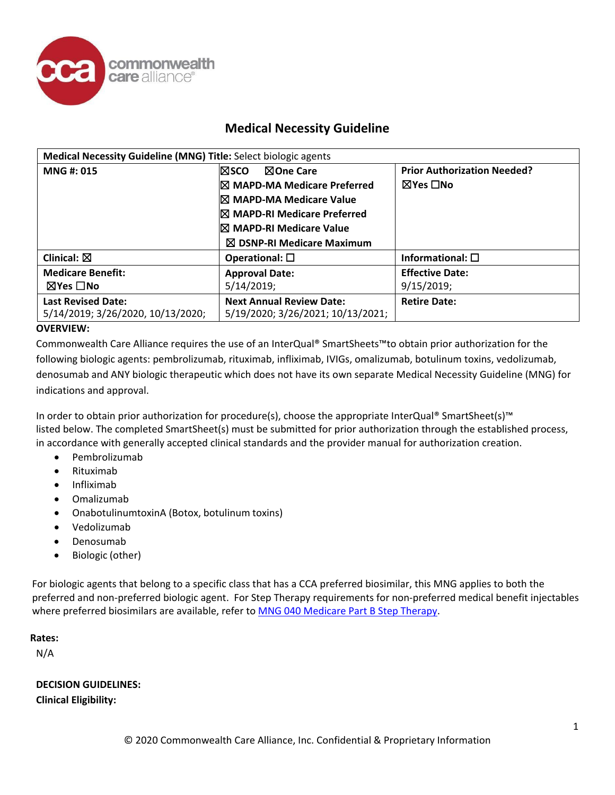

# **Medical Necessity Guideline**

| Medical Necessity Guideline (MNG) Title: Select biologic agents |                                                                      |                                    |
|-----------------------------------------------------------------|----------------------------------------------------------------------|------------------------------------|
| <b>MNG#: 015</b>                                                | l⊠sco<br>⊠One Care                                                   | <b>Prior Authorization Needed?</b> |
|                                                                 | <b>IX MAPD-MA Medicare Preferred</b>                                 | ⊠Yes ∏No                           |
|                                                                 | I⊠ MAPD-MA Medicare Value                                            |                                    |
|                                                                 | <b>IX MAPD-RI Medicare Preferred</b>                                 |                                    |
|                                                                 | I⊠ MAPD-RI Medicare Value                                            |                                    |
|                                                                 | $\boxtimes$ DSNP-RI Medicare Maximum                                 |                                    |
| Clinical: $\boxtimes$                                           | Operational: $\square$                                               | Informational: $\square$           |
| <b>Medicare Benefit:</b>                                        | <b>Approval Date:</b>                                                | <b>Effective Date:</b>             |
| $\boxtimes$ Yes $\Box$ No                                       | 5/14/2019;                                                           | 9/15/2019;                         |
| <b>Last Revised Date:</b><br>5/14/2019; 3/26/2020, 10/13/2020;  | <b>Next Annual Review Date:</b><br>5/19/2020; 3/26/2021; 10/13/2021; | <b>Retire Date:</b>                |

## **OVERVIEW:**

Commonwealth Care Alliance requires the use of an InterQual® SmartSheets™to obtain prior authorization for the following biologic agents: pembrolizumab, rituximab, infliximab, IVIGs, omalizumab, botulinum toxins, vedolizumab, denosumab and ANY biologic therapeutic which does not have its own separate Medical Necessity Guideline (MNG) for indications and approval.

In order to obtain prior authorization for procedure(s), choose the appropriate InterQual® SmartSheet(s)™ listed below. The completed SmartSheet(s) must be submitted for prior authorization through the established process, in accordance with generally accepted clinical standards and the provider manual for authorization creation.

- Pembrolizumab
- Rituximab
- Infliximab
- Omalizumab
- OnabotulinumtoxinA (Botox, botulinum toxins)
- Vedolizumab
- Denosumab
- Biologic (other)

For biologic agents that belong to a specific class that has a CCA preferred biosimilar, this MNG applies to both the preferred and non-preferred biologic agent. For Step Therapy requirements for non-preferred medical benefit injectables where preferred biosimilars are available, refer to [MNG 040 Medicare Part B Step Therapy.](https://www.commonwealthcarealliance.org/getmedia/74ecad4a-84d0-42a3-91e6-3728afae6dbd/Medicare-Part-B-Step-Therapy-MNG-040)

**Rates:**

N/A

**DECISION GUIDELINES: Clinical Eligibility:**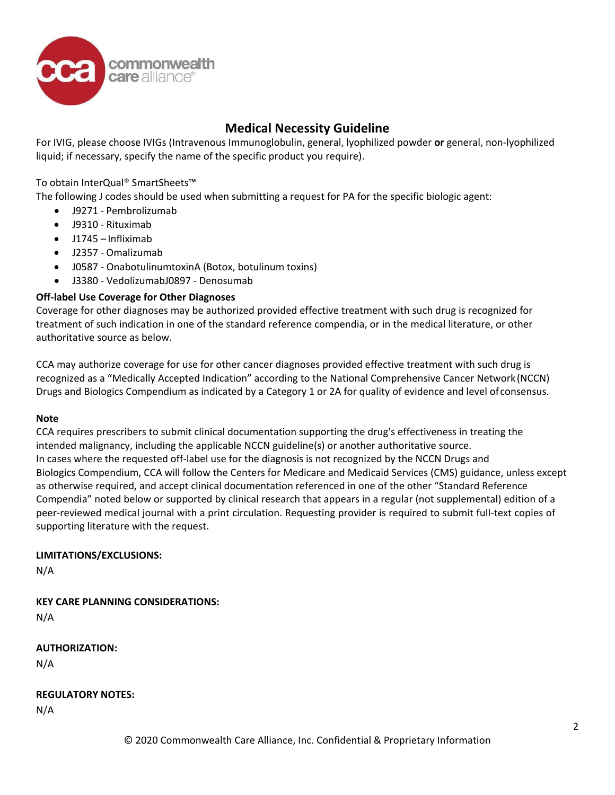

# **Medical Necessity Guideline**

For IVIG, please choose IVIGs (Intravenous Immunoglobulin, general, lyophilized powder **or** general, non-lyophilized liquid; if necessary, specify the name of the specific product you require).

To obtain InterQual® SmartSheets™

The following J codes should be used when submitting a request for PA for the specific biologic agent:

- J9271 Pembrolizumab
- J9310 Rituximab
- J1745 Infliximab
- J2357 Omalizumab
- J0587 OnabotulinumtoxinA (Botox, botulinum toxins)
- J3380 VedolizumabJ0897 Denosumab

### **Off-label Use Coverage for Other Diagnoses**

Coverage for other diagnoses may be authorized provided effective treatment with such drug is recognized for treatment of such indication in one of the standard reference compendia, or in the medical literature, or other authoritative source as below.

CCA may authorize coverage for use for other cancer diagnoses provided effective treatment with such drug is recognized as a "Medically Accepted Indication" according to the National Comprehensive Cancer Network(NCCN) Drugs and Biologics Compendium as indicated by a Category 1 or 2A for quality of evidence and level ofconsensus.

#### **Note**

CCA requires prescribers to submit clinical documentation supporting the drug's effectiveness in treating the intended malignancy, including the applicable NCCN guideline(s) or another authoritative source. In cases where the requested off-label use for the diagnosis is not recognized by the NCCN Drugs and Biologics Compendium, CCA will follow the Centers for Medicare and Medicaid Services (CMS) guidance, unless except as otherwise required, and accept clinical documentation referenced in one of the other "Standard Reference Compendia" noted below or supported by clinical research that appears in a regular (not supplemental) edition of a peer-reviewed medical journal with a print circulation. Requesting provider is required to submit full-text copies of supporting literature with the request.

### **LIMITATIONS/EXCLUSIONS:**

N/A

**KEY CARE PLANNING CONSIDERATIONS:**

N/A

**AUTHORIZATION:**

N/A

**REGULATORY NOTES:**

N/A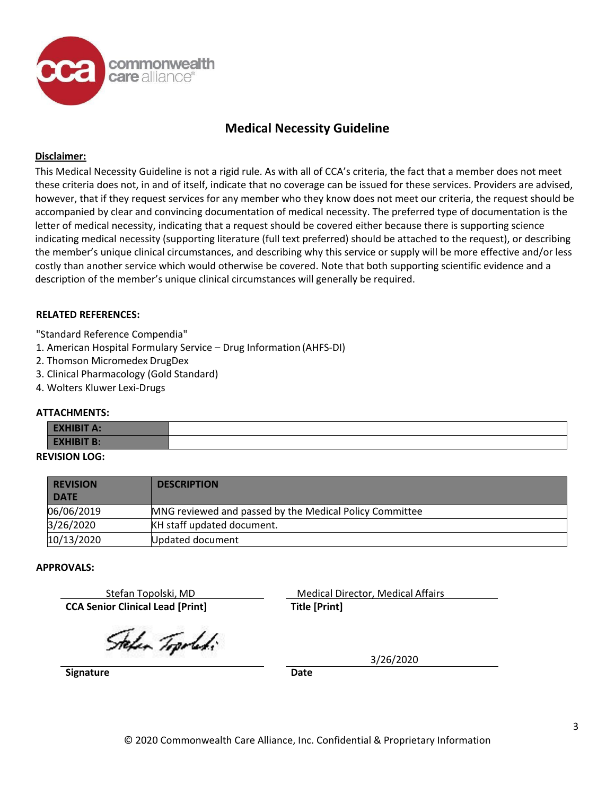

# **Medical Necessity Guideline**

#### **Disclaimer:**

This Medical Necessity Guideline is not a rigid rule. As with all of CCA's criteria, the fact that a member does not meet these criteria does not, in and of itself, indicate that no coverage can be issued for these services. Providers are advised, however, that if they request services for any member who they know does not meet our criteria, the request should be accompanied by clear and convincing documentation of medical necessity. The preferred type of documentation is the letter of medical necessity, indicating that a request should be covered either because there is supporting science indicating medical necessity (supporting literature (full text preferred) should be attached to the request), or describing the member's unique clinical circumstances, and describing why this service or supply will be more effective and/or less costly than another service which would otherwise be covered. Note that both supporting scientific evidence and a description of the member's unique clinical circumstances will generally be required.

#### **RELATED REFERENCES:**

"Standard Reference Compendia"

- 1. American Hospital Formulary Service Drug Information (AHFS-DI)
- 2. Thomson Micromedex DrugDex
- 3. Clinical Pharmacology (Gold Standard)
- 4. Wolters Kluwer Lexi-Drugs

#### **ATTACHMENTS:**

| <b>EXHIBIT A:</b> |  |
|-------------------|--|
| <b>EXHIBIT B:</b> |  |
| .                 |  |

## **REVISION LOG:**

| <b>REVISION</b><br><b>DATE</b> | <b>DESCRIPTION</b>                                      |
|--------------------------------|---------------------------------------------------------|
| 06/06/2019                     | MNG reviewed and passed by the Medical Policy Committee |
| 3/26/2020                      | KH staff updated document.                              |
| 10/13/2020                     | <b>Updated document</b>                                 |

#### **APPROVALS:**

**CCA Senior Clinical Lead [Print] Title [Print]**

Stefan Topolski, MD Medical Director, Medical Affairs

Stefan Topoleti

3/26/2020

**Signature Date**